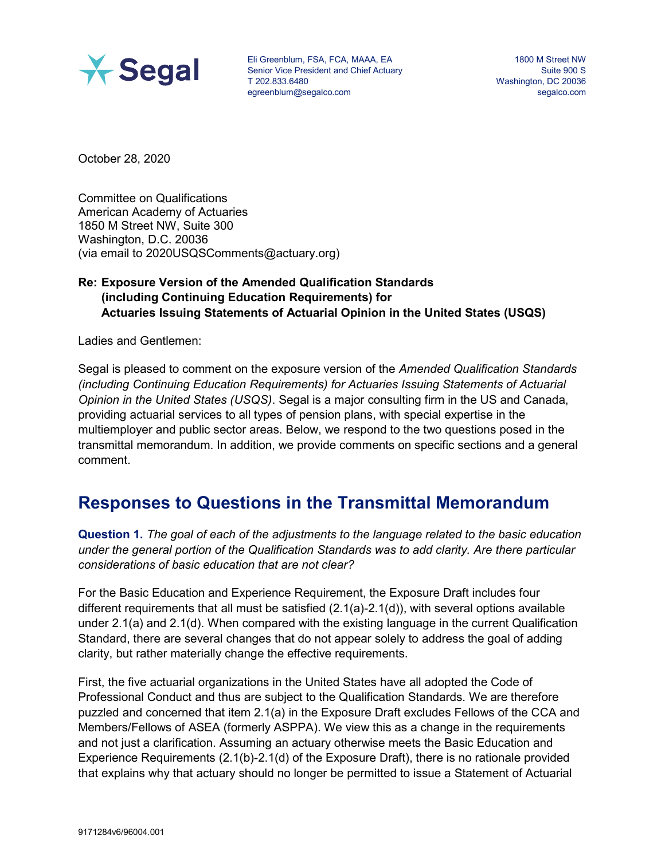

Eli Greenblum, FSA, FCA, MAAA, EA Senior Vice President and Chief Actuary T 202.833.6480 egreenblum@segalco.com

1800 M Street NW Suite 900 S Washington, DC 20036 segalco.com

October 28, 2020

Committee on Qualifications American Academy of Actuaries 1850 M Street NW, Suite 300 Washington, D.C. 20036 (via email to 2020USQSComments@actuary.org)

## Re: Exposure Version of the Amended Qualification Standards (including Continuing Education Requirements) for Actuaries Issuing Statements of Actuarial Opinion in the United States (USQS)

Ladies and Gentlemen:

Segal is pleased to comment on the exposure version of the Amended Qualification Standards (including Continuing Education Requirements) for Actuaries Issuing Statements of Actuarial Opinion in the United States (USQS). Segal is a major consulting firm in the US and Canada, providing actuarial services to all types of pension plans, with special expertise in the multiemployer and public sector areas. Below, we respond to the two questions posed in the transmittal memorandum. In addition, we provide comments on specific sections and a general comment.

## Responses to Questions in the Transmittal Memorandum

Question 1. The goal of each of the adjustments to the language related to the basic education under the general portion of the Qualification Standards was to add clarity. Are there particular considerations of basic education that are not clear?

For the Basic Education and Experience Requirement, the Exposure Draft includes four different requirements that all must be satisfied (2.1(a)-2.1(d)), with several options available under 2.1(a) and 2.1(d). When compared with the existing language in the current Qualification Standard, there are several changes that do not appear solely to address the goal of adding clarity, but rather materially change the effective requirements.

First, the five actuarial organizations in the United States have all adopted the Code of Professional Conduct and thus are subject to the Qualification Standards. We are therefore puzzled and concerned that item 2.1(a) in the Exposure Draft excludes Fellows of the CCA and Members/Fellows of ASEA (formerly ASPPA). We view this as a change in the requirements and not just a clarification. Assuming an actuary otherwise meets the Basic Education and Experience Requirements (2.1(b)-2.1(d) of the Exposure Draft), there is no rationale provided that explains why that actuary should no longer be permitted to issue a Statement of Actuarial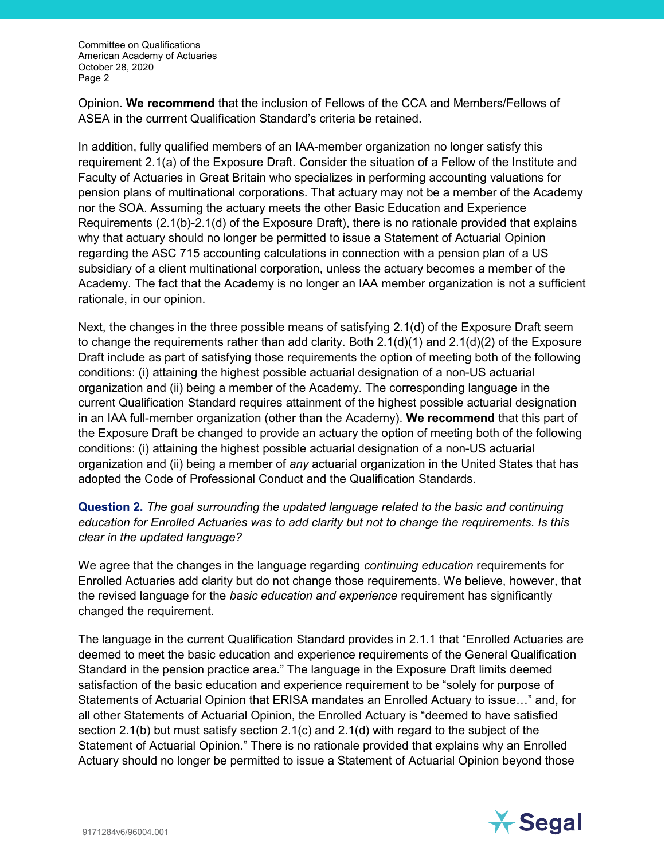Committee on Qualifications American Academy of Actuaries October 28, 2020 Page 2

Opinion. We recommend that the inclusion of Fellows of the CCA and Members/Fellows of ASEA in the currrent Qualification Standard's criteria be retained.

In addition, fully qualified members of an IAA-member organization no longer satisfy this requirement 2.1(a) of the Exposure Draft. Consider the situation of a Fellow of the Institute and Faculty of Actuaries in Great Britain who specializes in performing accounting valuations for pension plans of multinational corporations. That actuary may not be a member of the Academy nor the SOA. Assuming the actuary meets the other Basic Education and Experience Requirements (2.1(b)-2.1(d) of the Exposure Draft), there is no rationale provided that explains why that actuary should no longer be permitted to issue a Statement of Actuarial Opinion regarding the ASC 715 accounting calculations in connection with a pension plan of a US subsidiary of a client multinational corporation, unless the actuary becomes a member of the Academy. The fact that the Academy is no longer an IAA member organization is not a sufficient rationale, in our opinion.

Next, the changes in the three possible means of satisfying 2.1(d) of the Exposure Draft seem to change the requirements rather than add clarity. Both  $2.1(d)(1)$  and  $2.1(d)(2)$  of the Exposure Draft include as part of satisfying those requirements the option of meeting both of the following conditions: (i) attaining the highest possible actuarial designation of a non-US actuarial organization and (ii) being a member of the Academy. The corresponding language in the current Qualification Standard requires attainment of the highest possible actuarial designation in an IAA full-member organization (other than the Academy). We recommend that this part of the Exposure Draft be changed to provide an actuary the option of meeting both of the following conditions: (i) attaining the highest possible actuarial designation of a non-US actuarial organization and (ii) being a member of any actuarial organization in the United States that has adopted the Code of Professional Conduct and the Qualification Standards.

## Question 2. The goal surrounding the updated language related to the basic and continuing education for Enrolled Actuaries was to add clarity but not to change the requirements. Is this clear in the updated language?

We agree that the changes in the language regarding *continuing education* requirements for Enrolled Actuaries add clarity but do not change those requirements. We believe, however, that the revised language for the *basic education and experience* requirement has significantly changed the requirement.

The language in the current Qualification Standard provides in 2.1.1 that "Enrolled Actuaries are deemed to meet the basic education and experience requirements of the General Qualification Standard in the pension practice area." The language in the Exposure Draft limits deemed satisfaction of the basic education and experience requirement to be "solely for purpose of Statements of Actuarial Opinion that ERISA mandates an Enrolled Actuary to issue…" and, for all other Statements of Actuarial Opinion, the Enrolled Actuary is "deemed to have satisfied section 2.1(b) but must satisfy section 2.1(c) and 2.1(d) with regard to the subject of the Statement of Actuarial Opinion." There is no rationale provided that explains why an Enrolled Actuary should no longer be permitted to issue a Statement of Actuarial Opinion beyond those